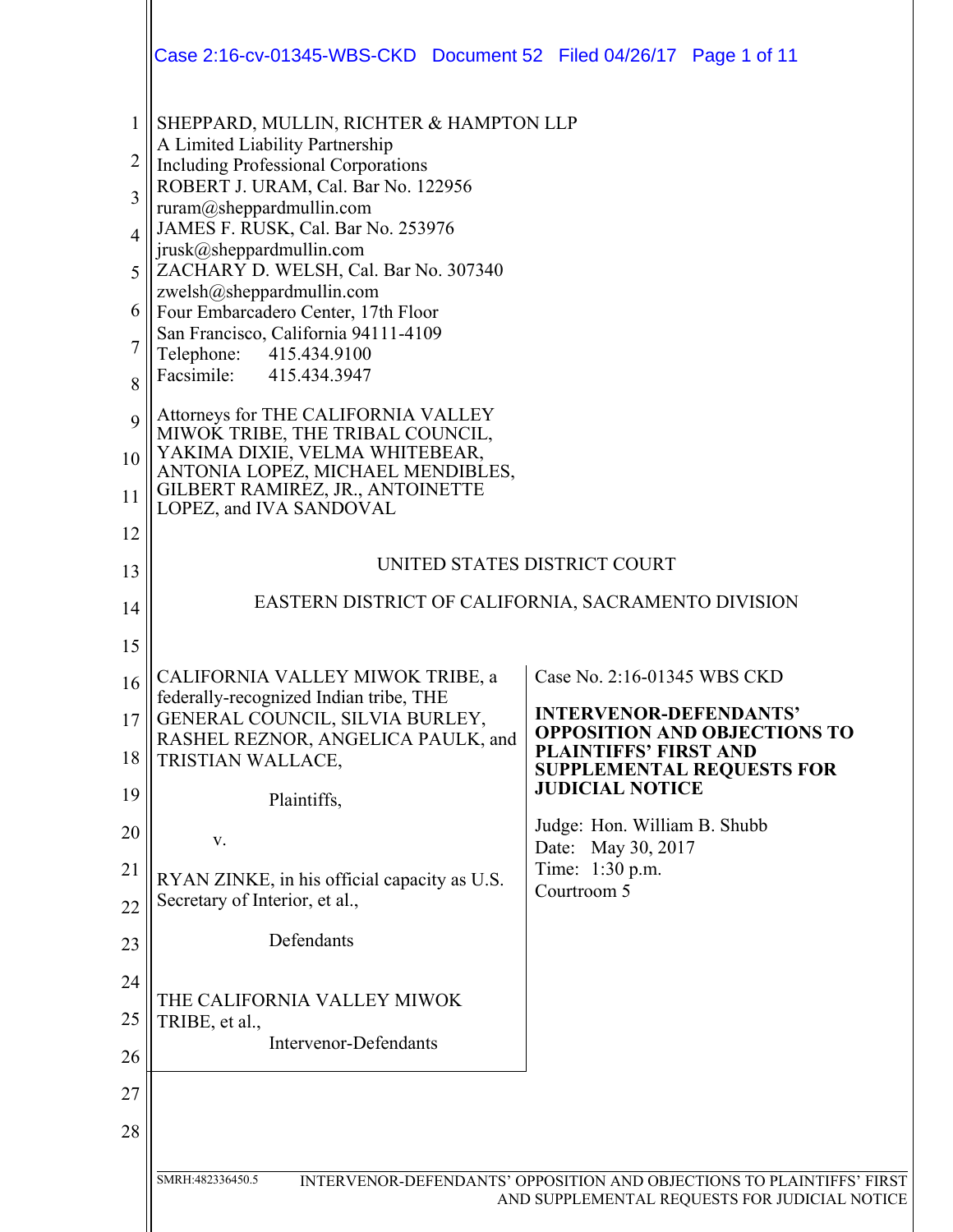|                                                                            | Case 2:16-cv-01345-WBS-CKD  Document 52  Filed 04/26/17  Page 1 of 11                                                                                                                                                                                                                                                                                                                                                                                                                                                                                                                                                                                                                     |                                                                                                                                                                                                                                                                                           |
|----------------------------------------------------------------------------|-------------------------------------------------------------------------------------------------------------------------------------------------------------------------------------------------------------------------------------------------------------------------------------------------------------------------------------------------------------------------------------------------------------------------------------------------------------------------------------------------------------------------------------------------------------------------------------------------------------------------------------------------------------------------------------------|-------------------------------------------------------------------------------------------------------------------------------------------------------------------------------------------------------------------------------------------------------------------------------------------|
| $\mathbf{1}$<br>2<br>3<br>$\overline{4}$<br>5<br>6<br>8<br>9<br>10<br>11   | SHEPPARD, MULLIN, RICHTER & HAMPTON LLP<br>A Limited Liability Partnership<br><b>Including Professional Corporations</b><br>ROBERT J. URAM, Cal. Bar No. 122956<br>ruram@sheppardmullin.com<br>JAMES F. RUSK, Cal. Bar No. 253976<br>jrusk@sheppardmullin.com<br>ZACHARY D. WELSH, Cal. Bar No. 307340<br>zwelsh@sheppardmullin.com<br>Four Embarcadero Center, 17th Floor<br>San Francisco, California 94111-4109<br>Telephone: 415.434.9100<br>Facsimile: 415.434.3947<br>Attorneys for THE CALIFORNIA VALLEY<br>MIWOK TRIBE, THE TRIBAL COUNCIL,<br>YAKIMA DIXIE, VELMA WHITEBEAR,<br>ANTONIA LOPEZ, MICHAEL MENDIBLES,<br>GILBERT RAMIREZ, JR., ANTOINETTE<br>LOPEZ, and IVA SANDOVAL |                                                                                                                                                                                                                                                                                           |
| 12<br>13<br>14                                                             | UNITED STATES DISTRICT COURT<br>EASTERN DISTRICT OF CALIFORNIA, SACRAMENTO DIVISION                                                                                                                                                                                                                                                                                                                                                                                                                                                                                                                                                                                                       |                                                                                                                                                                                                                                                                                           |
| 15<br>16<br>17<br>18<br>19<br>20<br>21<br>22<br>23<br>24<br>25<br>26<br>27 | CALIFORNIA VALLEY MIWOK TRIBE, a<br>federally-recognized Indian tribe, THE<br>GENERAL COUNCIL, SILVIA BURLEY,<br>RASHEL REZNOR, ANGELICA PAULK, and<br>TRISTIAN WALLACE,<br>Plaintiffs,<br>V.<br>RYAN ZINKE, in his official capacity as U.S.<br>Secretary of Interior, et al.,<br>Defendants<br>THE CALIFORNIA VALLEY MIWOK<br>TRIBE, et al.,<br><b>Intervenor-Defendants</b>                                                                                                                                                                                                                                                                                                            | Case No. 2:16-01345 WBS CKD<br><b>INTERVENOR-DEFENDANTS'</b><br><b>OPPOSITION AND OBJECTIONS TO</b><br><b>PLAINTIFFS' FIRST AND</b><br><b>SUPPLEMENTAL REQUESTS FOR</b><br><b>JUDICIAL NOTICE</b><br>Judge: Hon. William B. Shubb<br>Date: May 30, 2017<br>Time: 1:30 p.m.<br>Courtroom 5 |
| 28                                                                         | SMRH:482336450.5                                                                                                                                                                                                                                                                                                                                                                                                                                                                                                                                                                                                                                                                          | INTERVENOR-DEFENDANTS' OPPOSITION AND OBJECTIONS TO PLAINTIFFS' FIRST<br>AND SUPPLEMENTAL REQUESTS FOR JUDICIAL NOTICE                                                                                                                                                                    |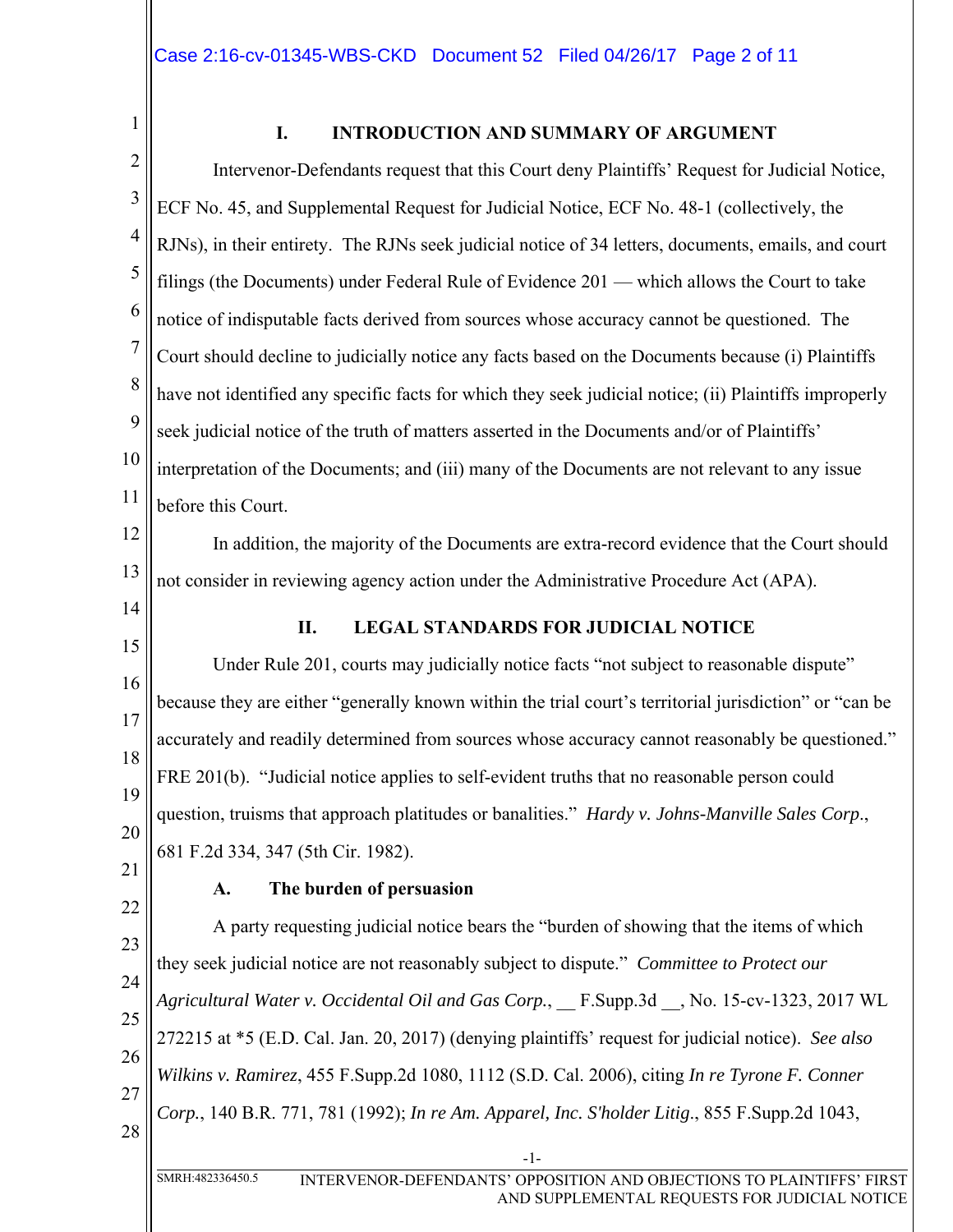1

## **I. INTRODUCTION AND SUMMARY OF ARGUMENT**

2 3 4 5 6 7 8 9 10 11 Intervenor-Defendants request that this Court deny Plaintiffs' Request for Judicial Notice, ECF No. 45, and Supplemental Request for Judicial Notice, ECF No. 48-1 (collectively, the RJNs), in their entirety. The RJNs seek judicial notice of 34 letters, documents, emails, and court filings (the Documents) under Federal Rule of Evidence 201 — which allows the Court to take notice of indisputable facts derived from sources whose accuracy cannot be questioned. The Court should decline to judicially notice any facts based on the Documents because (i) Plaintiffs have not identified any specific facts for which they seek judicial notice; (ii) Plaintiffs improperly seek judicial notice of the truth of matters asserted in the Documents and/or of Plaintiffs' interpretation of the Documents; and (iii) many of the Documents are not relevant to any issue before this Court.

12 13 In addition, the majority of the Documents are extra-record evidence that the Court should not consider in reviewing agency action under the Administrative Procedure Act (APA).

14

### **II. LEGAL STANDARDS FOR JUDICIAL NOTICE**

15 16 17 18 19 20 Under Rule 201, courts may judicially notice facts "not subject to reasonable dispute" because they are either "generally known within the trial court's territorial jurisdiction" or "can be accurately and readily determined from sources whose accuracy cannot reasonably be questioned." FRE 201(b). "Judicial notice applies to self-evident truths that no reasonable person could question, truisms that approach platitudes or banalities." *Hardy v. Johns-Manville Sales Corp*., 681 F.2d 334, 347 (5th Cir. 1982).

21

## **A. The burden of persuasion**

22 23 24 25 26 27 28 A party requesting judicial notice bears the "burden of showing that the items of which they seek judicial notice are not reasonably subject to dispute." *Committee to Protect our Agricultural Water v. Occidental Oil and Gas Corp.*, \_\_ F.Supp.3d \_\_, No. 15-cv-1323, 2017 WL 272215 at \*5 (E.D. Cal. Jan. 20, 2017) (denying plaintiffs' request for judicial notice). *See also Wilkins v. Ramirez*, 455 F.Supp.2d 1080, 1112 (S.D. Cal. 2006), citing *In re Tyrone F. Conner Corp.*, 140 B.R. 771, 781 (1992); *In re Am. Apparel, Inc. S'holder Litig*., 855 F.Supp.2d 1043,

-1-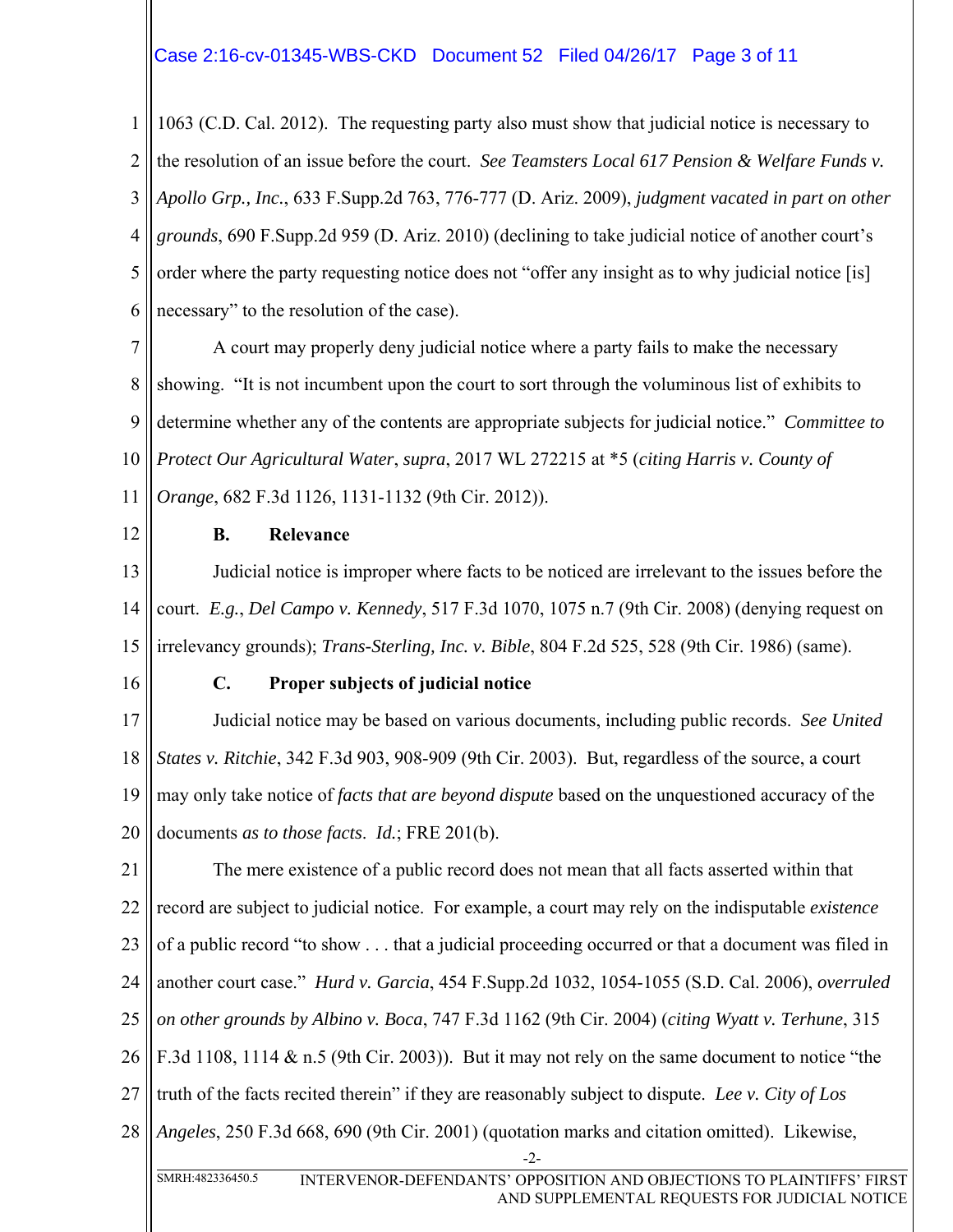## Case 2:16-cv-01345-WBS-CKD Document 52 Filed 04/26/17 Page 3 of 11

1 2 3 4 5 6 1063 (C.D. Cal. 2012). The requesting party also must show that judicial notice is necessary to the resolution of an issue before the court. *See Teamsters Local 617 Pension & Welfare Funds v. Apollo Grp., Inc.*, 633 F.Supp.2d 763, 776-777 (D. Ariz. 2009), *judgment vacated in part on other grounds*, 690 F.Supp.2d 959 (D. Ariz. 2010) (declining to take judicial notice of another court's order where the party requesting notice does not "offer any insight as to why judicial notice [is] necessary" to the resolution of the case).

7 8 9 10 11 A court may properly deny judicial notice where a party fails to make the necessary showing. "It is not incumbent upon the court to sort through the voluminous list of exhibits to determine whether any of the contents are appropriate subjects for judicial notice." *Committee to Protect Our Agricultural Water*, *supra*, 2017 WL 272215 at \*5 (*citing Harris v. County of Orange*, 682 F.3d 1126, 1131-1132 (9th Cir. 2012)).

12

### **B. Relevance**

13 14 15 Judicial notice is improper where facts to be noticed are irrelevant to the issues before the court. *E.g.*, *Del Campo v. Kennedy*, 517 F.3d 1070, 1075 n.7 (9th Cir. 2008) (denying request on irrelevancy grounds); *Trans-Sterling, Inc. v. Bible*, 804 F.2d 525, 528 (9th Cir. 1986) (same).

16

#### **C. Proper subjects of judicial notice**

17 18 19 20 Judicial notice may be based on various documents, including public records. *See United States v. Ritchie*, 342 F.3d 903, 908-909 (9th Cir. 2003). But, regardless of the source, a court may only take notice of *facts that are beyond dispute* based on the unquestioned accuracy of the documents *as to those facts*. *Id.*; FRE 201(b).

21 22 23 24 25 26 27 28 -2- The mere existence of a public record does not mean that all facts asserted within that record are subject to judicial notice. For example, a court may rely on the indisputable *existence* of a public record "to show . . . that a judicial proceeding occurred or that a document was filed in another court case." *Hurd v. Garcia*, 454 F.Supp.2d 1032, 1054-1055 (S.D. Cal. 2006), *overruled on other grounds by Albino v. Boca*, 747 F.3d 1162 (9th Cir. 2004) (*citing Wyatt v. Terhune*, 315 F.3d 1108, 1114 & n.5 (9th Cir. 2003)). But it may not rely on the same document to notice "the truth of the facts recited therein" if they are reasonably subject to dispute. *Lee v. City of Los Angeles*, 250 F.3d 668, 690 (9th Cir. 2001) (quotation marks and citation omitted). Likewise,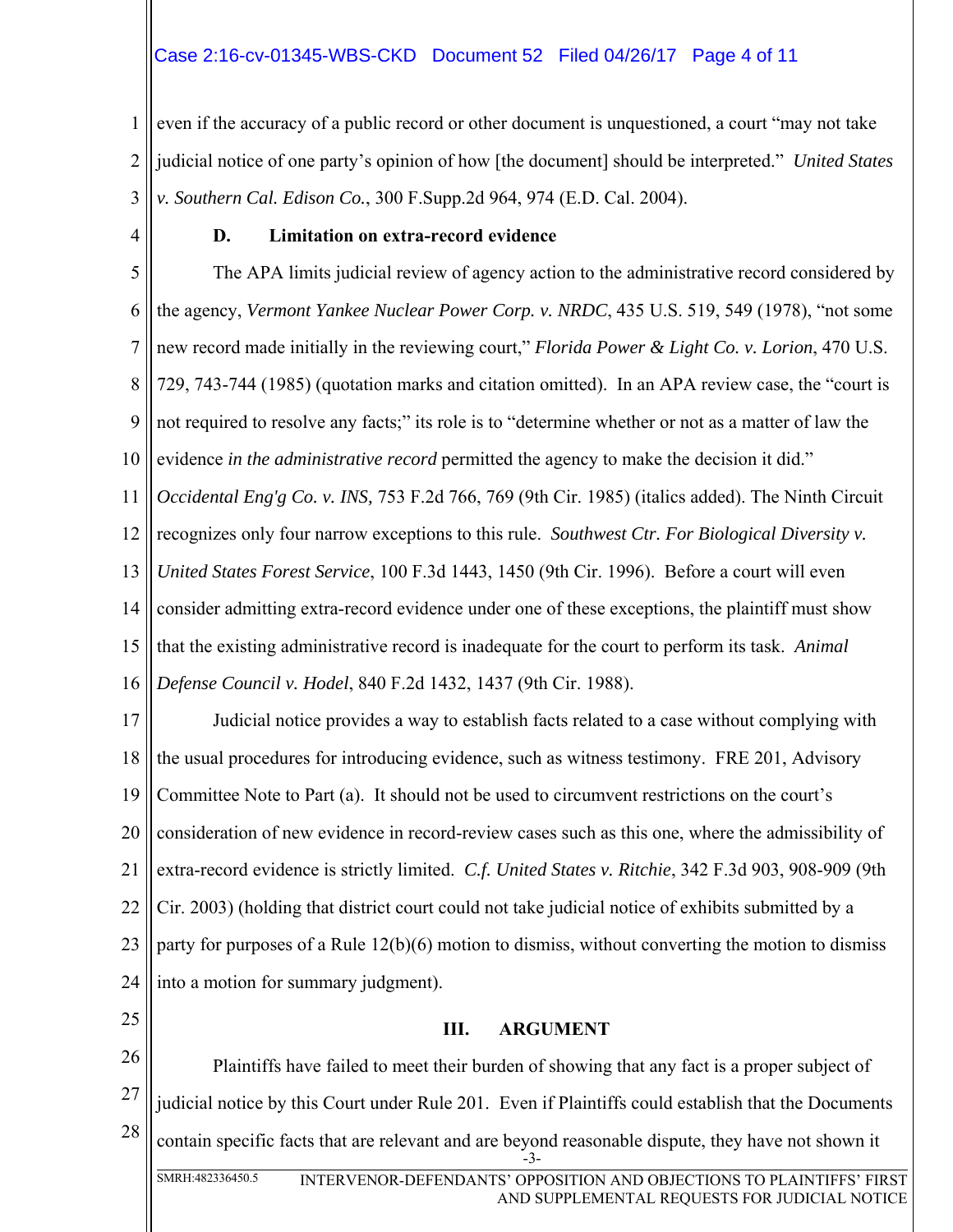# Case 2:16-cv-01345-WBS-CKD Document 52 Filed 04/26/17 Page 4 of 11

1 2 3 even if the accuracy of a public record or other document is unquestioned, a court "may not take judicial notice of one party's opinion of how [the document] should be interpreted." *United States v. Southern Cal. Edison Co.*, 300 F.Supp.2d 964, 974 (E.D. Cal. 2004).

4

### **D. Limitation on extra-record evidence**

5 6 7 8 9 10 11 12 13 14 15 16 The APA limits judicial review of agency action to the administrative record considered by the agency, *Vermont Yankee Nuclear Power Corp. v. NRDC*, 435 U.S. 519, 549 (1978), "not some new record made initially in the reviewing court," *Florida Power & Light Co. v. Lorion*, 470 U.S. 729, 743-744 (1985) (quotation marks and citation omitted). In an APA review case, the "court is not required to resolve any facts;" its role is to "determine whether or not as a matter of law the evidence *in the administrative record* permitted the agency to make the decision it did." *Occidental Eng'g Co. v. INS,* 753 F.2d 766, 769 (9th Cir. 1985) (italics added). The Ninth Circuit recognizes only four narrow exceptions to this rule. *Southwest Ctr. For Biological Diversity v. United States Forest Service*, 100 F.3d 1443, 1450 (9th Cir. 1996). Before a court will even consider admitting extra-record evidence under one of these exceptions, the plaintiff must show that the existing administrative record is inadequate for the court to perform its task. *Animal Defense Council v. Hodel*, 840 F.2d 1432, 1437 (9th Cir. 1988).

17 18 19 20 21 22 23 24 Judicial notice provides a way to establish facts related to a case without complying with the usual procedures for introducing evidence, such as witness testimony. FRE 201, Advisory Committee Note to Part (a). It should not be used to circumvent restrictions on the court's consideration of new evidence in record-review cases such as this one, where the admissibility of extra-record evidence is strictly limited. *C.f. United States v. Ritchie*, 342 F.3d 903, 908-909 (9th Cir. 2003) (holding that district court could not take judicial notice of exhibits submitted by a party for purposes of a Rule 12(b)(6) motion to dismiss, without converting the motion to dismiss into a motion for summary judgment).

25

#### **III. ARGUMENT**

26 27 28 -3- Plaintiffs have failed to meet their burden of showing that any fact is a proper subject of judicial notice by this Court under Rule 201. Even if Plaintiffs could establish that the Documents contain specific facts that are relevant and are beyond reasonable dispute, they have not shown it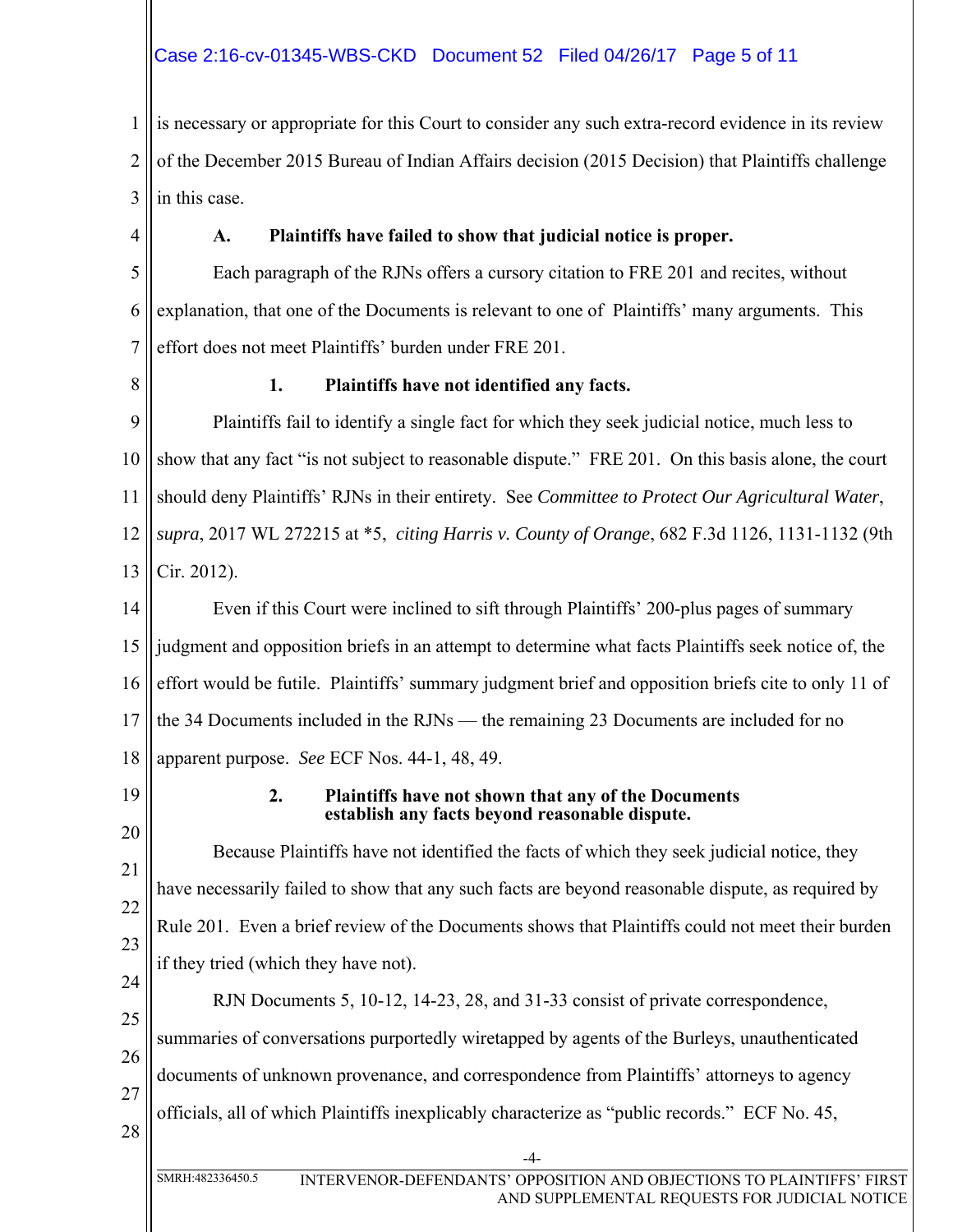# Case 2:16-cv-01345-WBS-CKD Document 52 Filed 04/26/17 Page 5 of 11

1 2 3 is necessary or appropriate for this Court to consider any such extra-record evidence in its review of the December 2015 Bureau of Indian Affairs decision (2015 Decision) that Plaintiffs challenge in this case.

4

# **A. Plaintiffs have failed to show that judicial notice is proper.**

5 6 7 Each paragraph of the RJNs offers a cursory citation to FRE 201 and recites, without explanation, that one of the Documents is relevant to one of Plaintiffs' many arguments. This effort does not meet Plaintiffs' burden under FRE 201.

8

### **1. Plaintiffs have not identified any facts.**

9 10 11 12 13 Plaintiffs fail to identify a single fact for which they seek judicial notice, much less to show that any fact "is not subject to reasonable dispute." FRE 201. On this basis alone, the court should deny Plaintiffs' RJNs in their entirety. See *Committee to Protect Our Agricultural Water*, *supra*, 2017 WL 272215 at \*5, *citing Harris v. County of Orange*, 682 F.3d 1126, 1131-1132 (9th Cir. 2012).

14 15 16 17 18 Even if this Court were inclined to sift through Plaintiffs' 200-plus pages of summary judgment and opposition briefs in an attempt to determine what facts Plaintiffs seek notice of, the effort would be futile. Plaintiffs' summary judgment brief and opposition briefs cite to only 11 of the 34 Documents included in the RJNs — the remaining 23 Documents are included for no apparent purpose. *See* ECF Nos. 44-1, 48, 49.

19

### **2. Plaintiffs have not shown that any of the Documents establish any facts beyond reasonable dispute.**

20 21 22 23 24 Because Plaintiffs have not identified the facts of which they seek judicial notice, they have necessarily failed to show that any such facts are beyond reasonable dispute, as required by Rule 201. Even a brief review of the Documents shows that Plaintiffs could not meet their burden if they tried (which they have not).

25 26 27 28 RJN Documents 5, 10-12, 14-23, 28, and 31-33 consist of private correspondence, summaries of conversations purportedly wiretapped by agents of the Burleys, unauthenticated documents of unknown provenance, and correspondence from Plaintiffs' attorneys to agency officials, all of which Plaintiffs inexplicably characterize as "public records." ECF No. 45,

-4-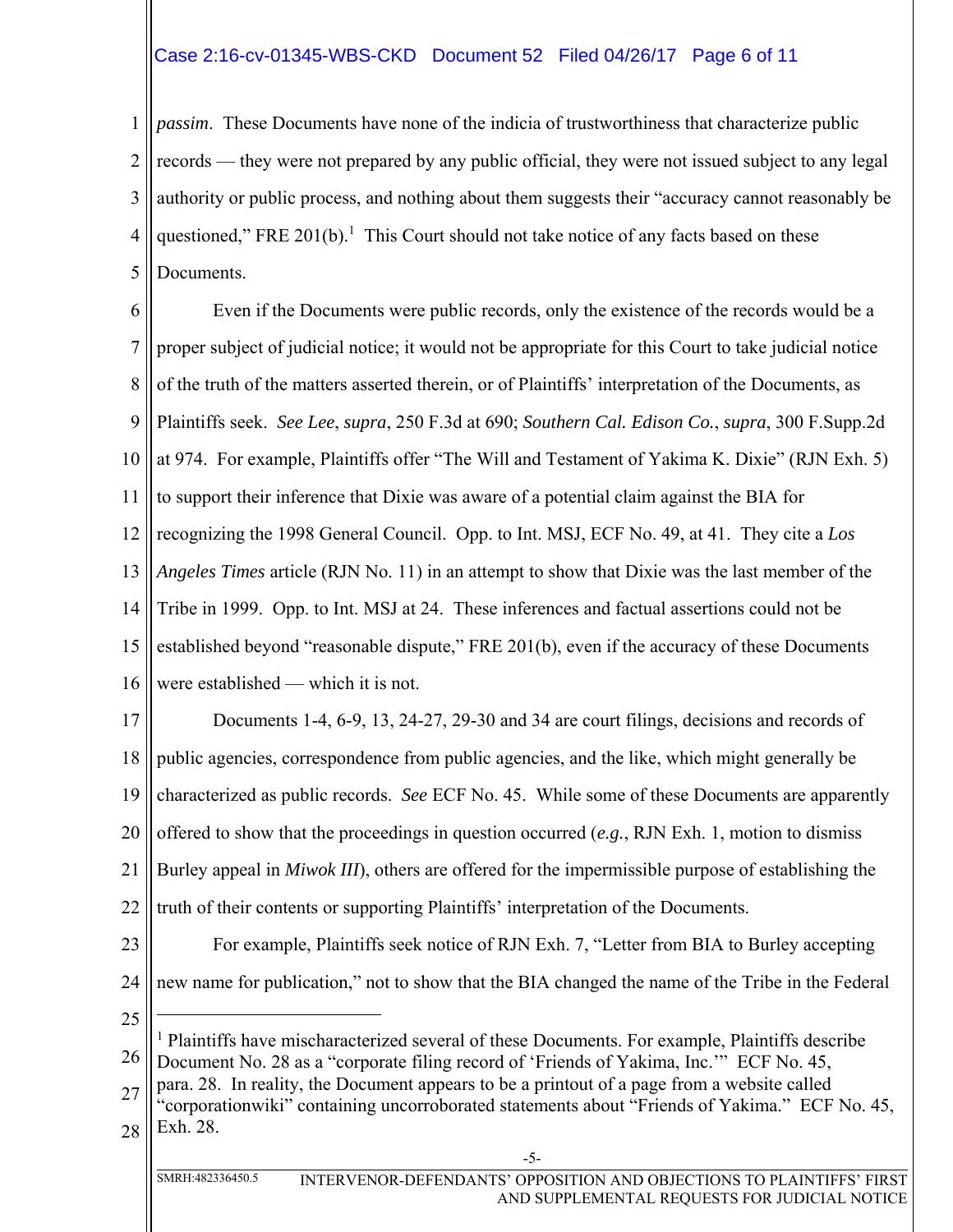# Case 2:16-cv-01345-WBS-CKD Document 52 Filed 04/26/17 Page 6 of 11

1 2 3 4 5 *passim*. These Documents have none of the indicia of trustworthiness that characterize public records — they were not prepared by any public official, they were not issued subject to any legal authority or public process, and nothing about them suggests their "accuracy cannot reasonably be questioned," FRE 201(b). $^1$  This Court should not take notice of any facts based on these Documents.

6 7 8 9 10 11 12 13 14 15 16 17 18 Even if the Documents were public records, only the existence of the records would be a proper subject of judicial notice; it would not be appropriate for this Court to take judicial notice of the truth of the matters asserted therein, or of Plaintiffs' interpretation of the Documents, as Plaintiffs seek. *See Lee*, *supra*, 250 F.3d at 690; *Southern Cal. Edison Co.*, *supra*, 300 F.Supp.2d at 974. For example, Plaintiffs offer "The Will and Testament of Yakima K. Dixie" (RJN Exh. 5) to support their inference that Dixie was aware of a potential claim against the BIA for recognizing the 1998 General Council. Opp. to Int. MSJ, ECF No. 49, at 41. They cite a *Los Angeles Times* article (RJN No. 11) in an attempt to show that Dixie was the last member of the Tribe in 1999. Opp. to Int. MSJ at 24. These inferences and factual assertions could not be established beyond "reasonable dispute," FRE 201(b), even if the accuracy of these Documents were established — which it is not. Documents 1-4, 6-9, 13, 24-27, 29-30 and 34 are court filings, decisions and records of public agencies, correspondence from public agencies, and the like, which might generally be

19 characterized as public records. *See* ECF No. 45. While some of these Documents are apparently

20 offered to show that the proceedings in question occurred (*e.g.*, RJN Exh. 1, motion to dismiss

21 Burley appeal in *Miwok III*), others are offered for the impermissible purpose of establishing the

22 truth of their contents or supporting Plaintiffs' interpretation of the Documents.

- 23 For example, Plaintiffs seek notice of RJN Exh. 7, "Letter from BIA to Burley accepting
- 24 new name for publication," not to show that the BIA changed the name of the Tribe in the Federal
- 25

 $\overline{a}$ 

26 <sup>1</sup> Plaintiffs have mischaracterized several of these Documents. For example, Plaintiffs describe Document No. 28 as a "corporate filing record of 'Friends of Yakima, Inc.'" ECF No. 45,

27 para. 28. In reality, the Document appears to be a printout of a page from a website called

28 "corporationwiki" containing uncorroborated statements about "Friends of Yakima." ECF No. 45, Exh. 28.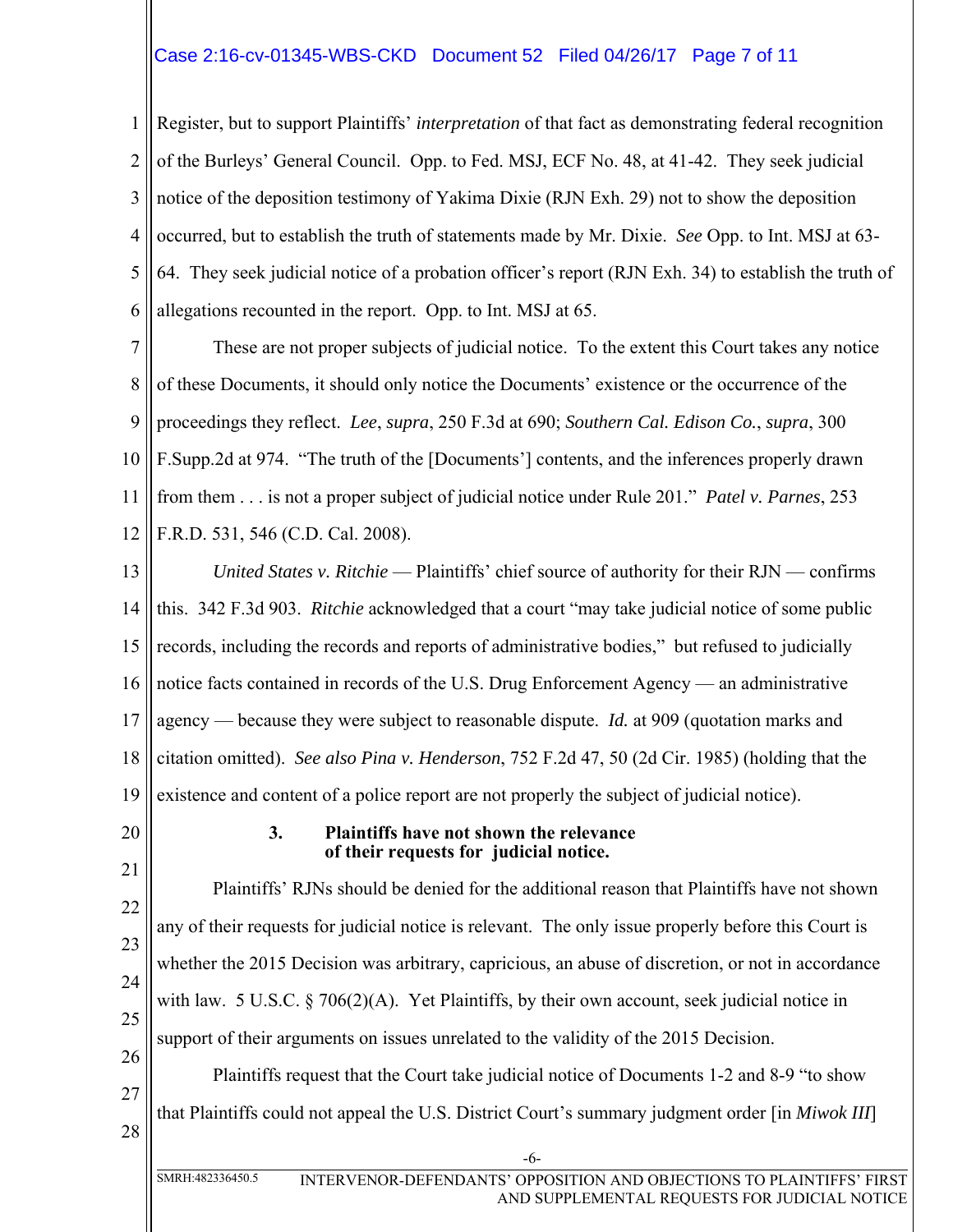## Case 2:16-cv-01345-WBS-CKD Document 52 Filed 04/26/17 Page 7 of 11

1 2 3 4 5 6 Register, but to support Plaintiffs' *interpretation* of that fact as demonstrating federal recognition of the Burleys' General Council. Opp. to Fed. MSJ, ECF No. 48, at 41-42. They seek judicial notice of the deposition testimony of Yakima Dixie (RJN Exh. 29) not to show the deposition occurred, but to establish the truth of statements made by Mr. Dixie. *See* Opp. to Int. MSJ at 63- 64. They seek judicial notice of a probation officer's report (RJN Exh. 34) to establish the truth of allegations recounted in the report. Opp. to Int. MSJ at 65.

7 8 9 10 11 12 These are not proper subjects of judicial notice. To the extent this Court takes any notice of these Documents, it should only notice the Documents' existence or the occurrence of the proceedings they reflect. *Lee*, *supra*, 250 F.3d at 690; *Southern Cal. Edison Co.*, *supra*, 300 F.Supp.2d at 974. "The truth of the [Documents'] contents, and the inferences properly drawn from them . . . is not a proper subject of judicial notice under Rule 201." *Patel v. Parnes*, 253 F.R.D. 531, 546 (C.D. Cal. 2008).

13 14 15 16 17 18 19 *United States v. Ritchie* — Plaintiffs' chief source of authority for their RJN — confirms this. 342 F.3d 903. *Ritchie* acknowledged that a court "may take judicial notice of some public records, including the records and reports of administrative bodies," but refused to judicially notice facts contained in records of the U.S. Drug Enforcement Agency — an administrative agency — because they were subject to reasonable dispute. *Id.* at 909 (quotation marks and citation omitted). *See also Pina v. Henderson*, 752 F.2d 47, 50 (2d Cir. 1985) (holding that the existence and content of a police report are not properly the subject of judicial notice).

20

#### **3. Plaintiffs have not shown the relevance of their requests for judicial notice.**

21 22 23 24 25 26 27 28 Plaintiffs' RJNs should be denied for the additional reason that Plaintiffs have not shown any of their requests for judicial notice is relevant. The only issue properly before this Court is whether the 2015 Decision was arbitrary, capricious, an abuse of discretion, or not in accordance with law. 5 U.S.C. § 706(2)(A). Yet Plaintiffs, by their own account, seek judicial notice in support of their arguments on issues unrelated to the validity of the 2015 Decision. Plaintiffs request that the Court take judicial notice of Documents 1-2 and 8-9 "to show that Plaintiffs could not appeal the U.S. District Court's summary judgment order [in *Miwok III*]

-6-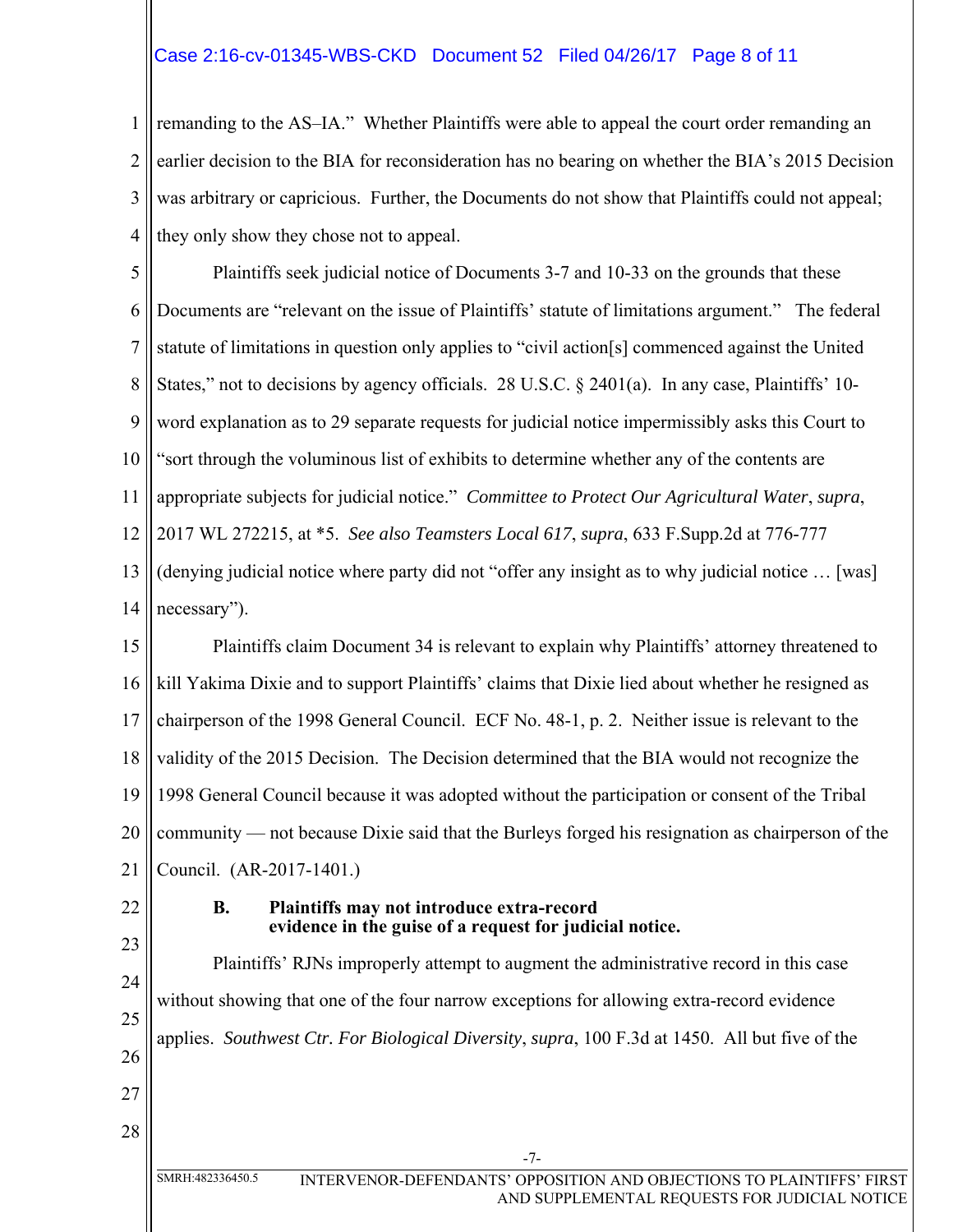## Case 2:16-cv-01345-WBS-CKD Document 52 Filed 04/26/17 Page 8 of 11

1 2 3 4 remanding to the AS–IA." Whether Plaintiffs were able to appeal the court order remanding an earlier decision to the BIA for reconsideration has no bearing on whether the BIA's 2015 Decision was arbitrary or capricious. Further, the Documents do not show that Plaintiffs could not appeal; they only show they chose not to appeal.

5 6 7 8 9 10 11 12 Plaintiffs seek judicial notice of Documents 3-7 and 10-33 on the grounds that these Documents are "relevant on the issue of Plaintiffs' statute of limitations argument." The federal statute of limitations in question only applies to "civil action[s] commenced against the United States," not to decisions by agency officials. 28 U.S.C. § 2401(a). In any case, Plaintiffs' 10word explanation as to 29 separate requests for judicial notice impermissibly asks this Court to "sort through the voluminous list of exhibits to determine whether any of the contents are appropriate subjects for judicial notice." *Committee to Protect Our Agricultural Water*, *supra*, 2017 WL 272215, at \*5. *See also Teamsters Local 617*, *supra*, 633 F.Supp.2d at 776-777

13 14 (denying judicial notice where party did not "offer any insight as to why judicial notice … [was] necessary").

15 16 17 18 19 20 21 Plaintiffs claim Document 34 is relevant to explain why Plaintiffs' attorney threatened to kill Yakima Dixie and to support Plaintiffs' claims that Dixie lied about whether he resigned as chairperson of the 1998 General Council. ECF No. 48-1, p. 2. Neither issue is relevant to the validity of the 2015 Decision. The Decision determined that the BIA would not recognize the 1998 General Council because it was adopted without the participation or consent of the Tribal community — not because Dixie said that the Burleys forged his resignation as chairperson of the Council. (AR-2017-1401.)

22

#### **B. Plaintiffs may not introduce extra-record evidence in the guise of a request for judicial notice.**

23 24 25 26 27 28 -7- SMRH:482336450.5 INTERVENOR-DEFENDANTS' OPPOSITION AND OBJECTIONS TO PLAINTIFFS' FIRST Plaintiffs' RJNs improperly attempt to augment the administrative record in this case without showing that one of the four narrow exceptions for allowing extra-record evidence applies. *Southwest Ctr. For Biological Diversity*, *supra*, 100 F.3d at 1450. All but five of the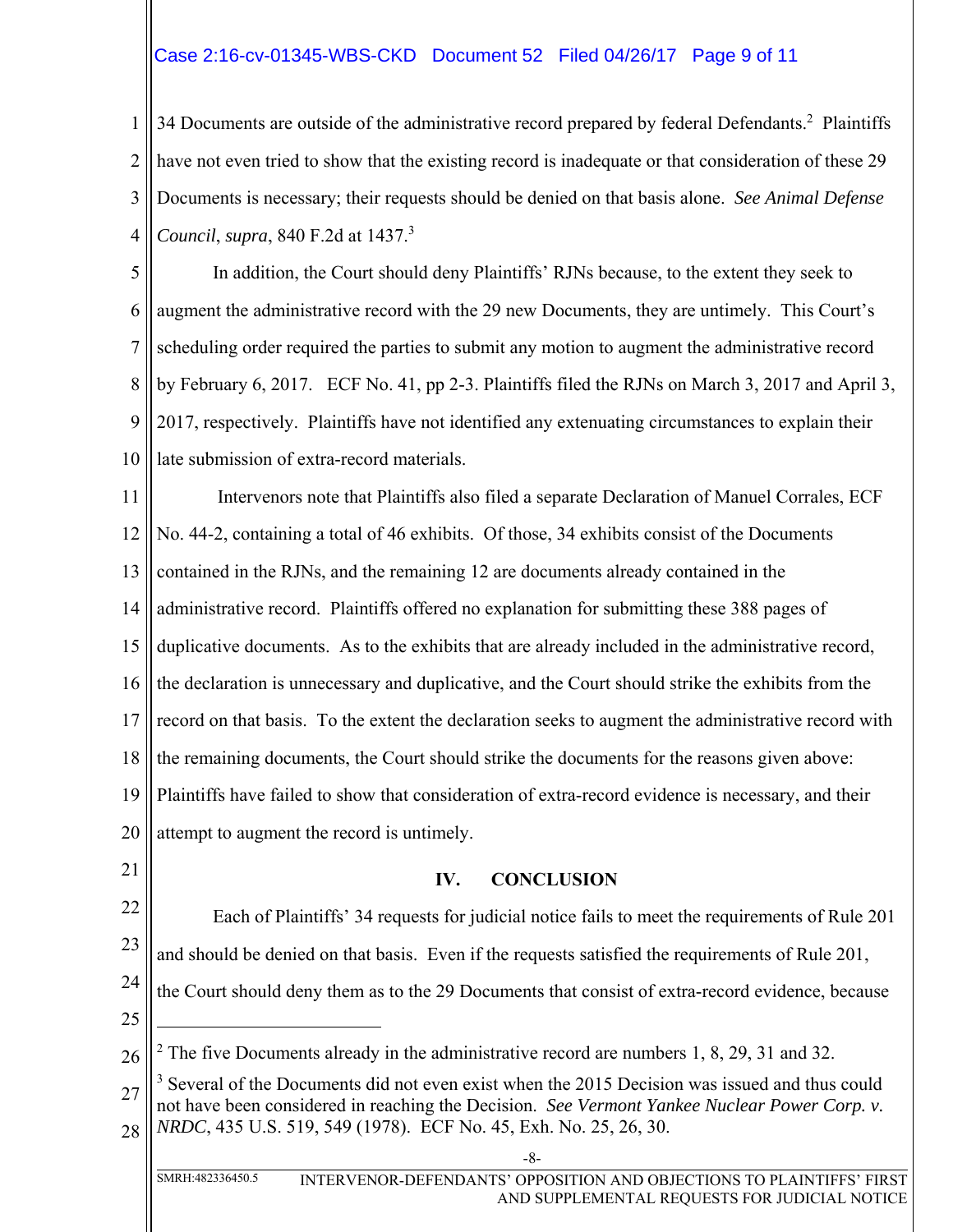# Case 2:16-cv-01345-WBS-CKD Document 52 Filed 04/26/17 Page 9 of 11

1 2 3 4 34 Documents are outside of the administrative record prepared by federal Defendants.<sup>2</sup> Plaintiffs have not even tried to show that the existing record is inadequate or that consideration of these 29 Documents is necessary; their requests should be denied on that basis alone. *See Animal Defense Council*, *supra*, 840 F.2d at 1437.3

5 6 7 8 9 10 In addition, the Court should deny Plaintiffs' RJNs because, to the extent they seek to augment the administrative record with the 29 new Documents, they are untimely. This Court's scheduling order required the parties to submit any motion to augment the administrative record by February 6, 2017. ECF No. 41, pp 2-3. Plaintiffs filed the RJNs on March 3, 2017 and April 3, 2017, respectively. Plaintiffs have not identified any extenuating circumstances to explain their late submission of extra-record materials.

11 12 13 14 15 16 17 18 19 20 Intervenors note that Plaintiffs also filed a separate Declaration of Manuel Corrales, ECF No. 44-2, containing a total of 46 exhibits. Of those, 34 exhibits consist of the Documents contained in the RJNs, and the remaining 12 are documents already contained in the administrative record. Plaintiffs offered no explanation for submitting these 388 pages of duplicative documents. As to the exhibits that are already included in the administrative record, the declaration is unnecessary and duplicative, and the Court should strike the exhibits from the record on that basis. To the extent the declaration seeks to augment the administrative record with the remaining documents, the Court should strike the documents for the reasons given above: Plaintiffs have failed to show that consideration of extra-record evidence is necessary, and their attempt to augment the record is untimely.

21

### **IV. CONCLUSION**

22 23 24 Each of Plaintiffs' 34 requests for judicial notice fails to meet the requirements of Rule 201 and should be denied on that basis. Even if the requests satisfied the requirements of Rule 201, the Court should deny them as to the 29 Documents that consist of extra-record evidence, because

25

 $\overline{a}$ 

<sup>26</sup> <sup>2</sup> The five Documents already in the administrative record are numbers 1, 8, 29, 31 and 32.

<sup>27</sup> 28 <sup>3</sup> Several of the Documents did not even exist when the 2015 Decision was issued and thus could not have been considered in reaching the Decision. *See Vermont Yankee Nuclear Power Corp. v. NRDC*, 435 U.S. 519, 549 (1978). ECF No. 45, Exh. No. 25, 26, 30.

<sup>-8-</sup>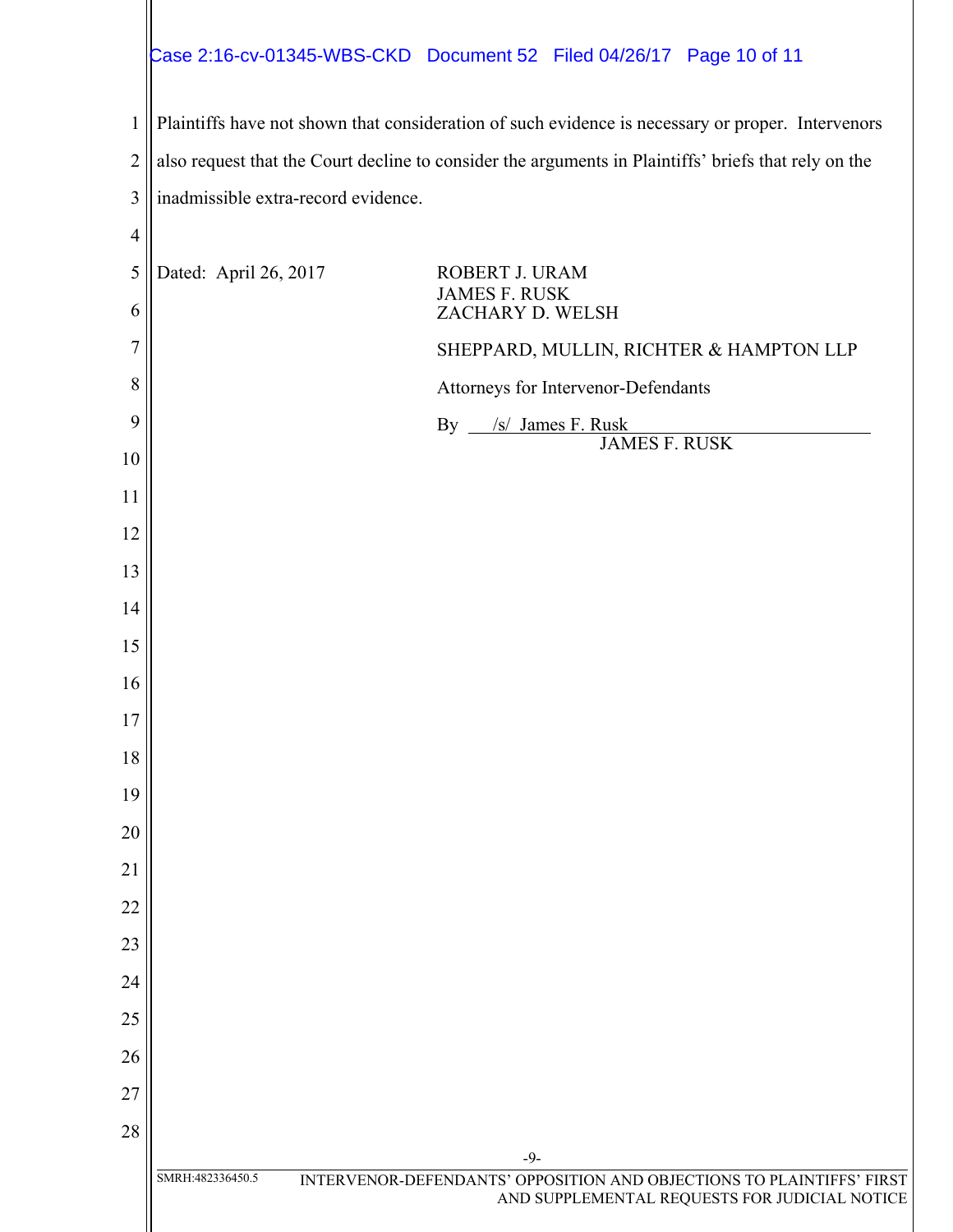# Case 2:16-cv-01345-WBS-CKD Document 52 Filed 04/26/17 Page 10 of 11

 Plaintiffs have not shown that consideration of such evidence is necessary or proper. Intervenors also request that the Court decline to consider the arguments in Plaintiffs' briefs that rely on the inadmissible extra-record evidence.

| $\overline{4}$ |                       |                                                                                                                        |
|----------------|-----------------------|------------------------------------------------------------------------------------------------------------------------|
| 5<br>6         | Dated: April 26, 2017 | ROBERT J. URAM<br><b>JAMES F. RUSK</b><br>ZACHARY D. WELSH                                                             |
| $\overline{7}$ |                       | SHEPPARD, MULLIN, RICHTER & HAMPTON LLP                                                                                |
| 8              |                       | Attorneys for Intervenor-Defendants                                                                                    |
| 9              |                       | By __/s/ James F. Rusk                                                                                                 |
| 10             |                       | <b>JAMES F. RUSK</b>                                                                                                   |
| 11             |                       |                                                                                                                        |
| 12             |                       |                                                                                                                        |
| 13             |                       |                                                                                                                        |
| 14             |                       |                                                                                                                        |
| 15             |                       |                                                                                                                        |
| 16             |                       |                                                                                                                        |
| 17             |                       |                                                                                                                        |
| 18             |                       |                                                                                                                        |
| 19             |                       |                                                                                                                        |
| 20             |                       |                                                                                                                        |
| 21             |                       |                                                                                                                        |
| 22             |                       |                                                                                                                        |
| 23             |                       |                                                                                                                        |
| 24             |                       |                                                                                                                        |
| 25             |                       |                                                                                                                        |
| 26             |                       |                                                                                                                        |
| 27             |                       |                                                                                                                        |
| 28             |                       | $-9-$                                                                                                                  |
|                | SMRH:482336450.5      | INTERVENOR-DEFENDANTS' OPPOSITION AND OBJECTIONS TO PLAINTIFFS' FIRST<br>AND SUPPLEMENTAL REQUESTS FOR JUDICIAL NOTICE |